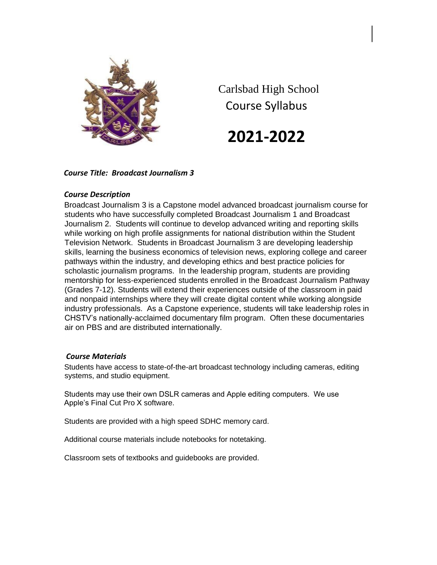

Carlsbad High School Course Syllabus

**2021-2022**

# *Course Title: Broadcast Journalism 3*

# *Course Description*

Broadcast Journalism 3 is a Capstone model advanced broadcast journalism course for students who have successfully completed Broadcast Journalism 1 and Broadcast Journalism 2. Students will continue to develop advanced writing and reporting skills while working on high profile assignments for national distribution within the Student Television Network. Students in Broadcast Journalism 3 are developing leadership skills, learning the business economics of television news, exploring college and career pathways within the industry, and developing ethics and best practice policies for scholastic journalism programs. In the leadership program, students are providing mentorship for less-experienced students enrolled in the Broadcast Journalism Pathway (Grades 7-12). Students will extend their experiences outside of the classroom in paid and nonpaid internships where they will create digital content while working alongside industry professionals. As a Capstone experience, students will take leadership roles in CHSTV's nationally-acclaimed documentary film program. Often these documentaries air on PBS and are distributed internationally.

#### *Course Materials*

Students have access to state-of-the-art broadcast technology including cameras, editing systems, and studio equipment.

Students may use their own DSLR cameras and Apple editing computers. We use Apple's Final Cut Pro X software.

Students are provided with a high speed SDHC memory card.

Additional course materials include notebooks for notetaking.

Classroom sets of textbooks and guidebooks are provided.